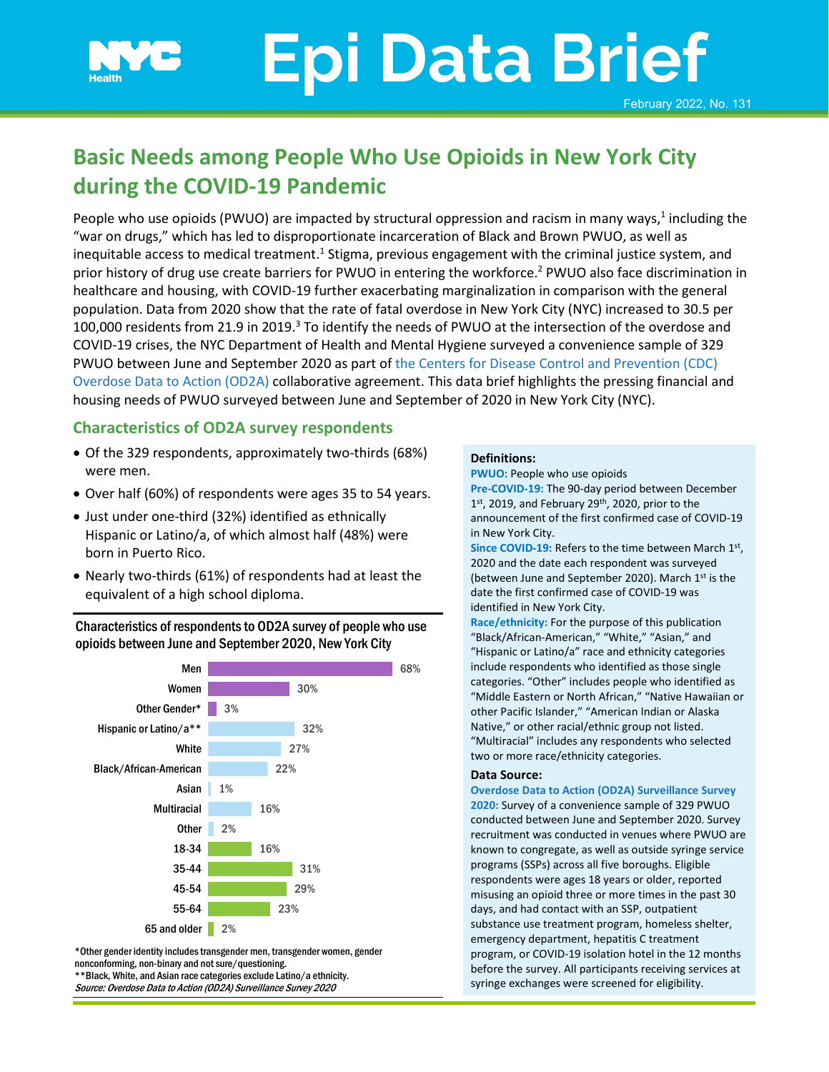# **Epi Data Brief** February 2022, No. 131

## **Basic Needs among People Who Use Opioids in New York City during the COVID-19 Pandemic**

People who use opioids (PWUO) are impacted by structural oppression and racism in many ways, $1$  including the "war on drugs," which has led to disproportionate incarceration of Black and Brown PWUO, as well as inequitable access to medical treatment.<sup>1</sup> Stigma, previous engagement with the criminal justice system, and prior history of drug use create barriers for PWUO in entering the workforce. <sup>2</sup> PWUO also face discrimination in healthcare and housing, with COVID-19 further exacerbating marginalization in comparison with the general population. Data from 2020 show that the rate of fatal overdose in New York City (NYC) increased to 30.5 per 100,000 residents from 21.9 in 2019.<sup>3</sup> To identify the needs of PWUO at the intersection of the overdose and COVID-19 crises, the NYC Department of Health and Mental Hygiene surveyed a convenience sample of 329 PWUO between June and September 2020 as part of [the Centers for Disease Control and Prevention \(CDC\)](https://www.cdc.gov/drugoverdose/od2a/index.html)  [Overdose Data to Action](https://www.cdc.gov/drugoverdose/od2a/index.html) (OD2A) collaborative agreement. This data brief highlights the pressing financial and housing needs of PWUO surveyed between June and September of 2020 in New York City (NYC).

#### **Characteristics of OD2A survey respondents**

- Of the 329 respondents, approximately two-thirds (68%) were men.
- Over half (60%) of respondents were ages 35 to 54 years.
- Just under one-third (32%) identified as ethnically Hispanic or Latino/a, of which almost half (48%) were born in Puerto Rico.
- Nearly two-thirds (61%) of respondents had at least the equivalent of a high school diploma.

#### Characteristics of respondents to OD2A survey of people who use opioids between June and September 2020, New York City



\*Other gender identity includes transgender men, transgender women, gender nonconforming, non-binary and not sure/questioning.

\*\*Black, White, and Asian race categories exclude Latino/a ethnicity. Source: Overdose Data to Action (OD2A) Surveillance Survey 2020

#### **Definitions:**

**PWUO**: People who use opioids

**Pre-COVID-19:** The 90-day period between December  $1<sup>st</sup>$ , 2019, and February 29<sup>th</sup>, 2020, prior to the announcement of the first confirmed case of COVID-19 in New York City.

**Since COVID-19:** Refers to the time between March 1st, 2020 and the date each respondent was surveyed (between June and September 2020). March 1<sup>st</sup> is the date the first confirmed case of COVID-19 was identified in New York City.

**Race/ethnicity:** For the purpose of this publication "Black/African-American," "White," "Asian," and "Hispanic or Latino/a" race and ethnicity categories include respondents who identified as those single categories. "Other" includes people who identified as "Middle Eastern or North African," "Native Hawaiian or other Pacific Islander," "American Indian or Alaska Native," or other racial/ethnic group not listed. "Multiracial" includes any respondents who selected two or more race/ethnicity categories.

#### **Data Source:**

**Overdose Data to Action (OD2A) Surveillance Survey 2020:** Survey of a convenience sample of 329 PWUO conducted between June and September 2020. Survey recruitment was conducted in venues where PWUO are known to congregate, as well as outside syringe service programs (SSPs) across all five boroughs. Eligible respondents were ages 18 years or older, reported misusing an opioid three or more times in the past 30 days, and had contact with an SSP, outpatient substance use treatment program, homeless shelter, emergency department, hepatitis C treatment program, or COVID-19 isolation hotel in the 12 months before the survey. All participants receiving services at syringe exchanges were screened for eligibility.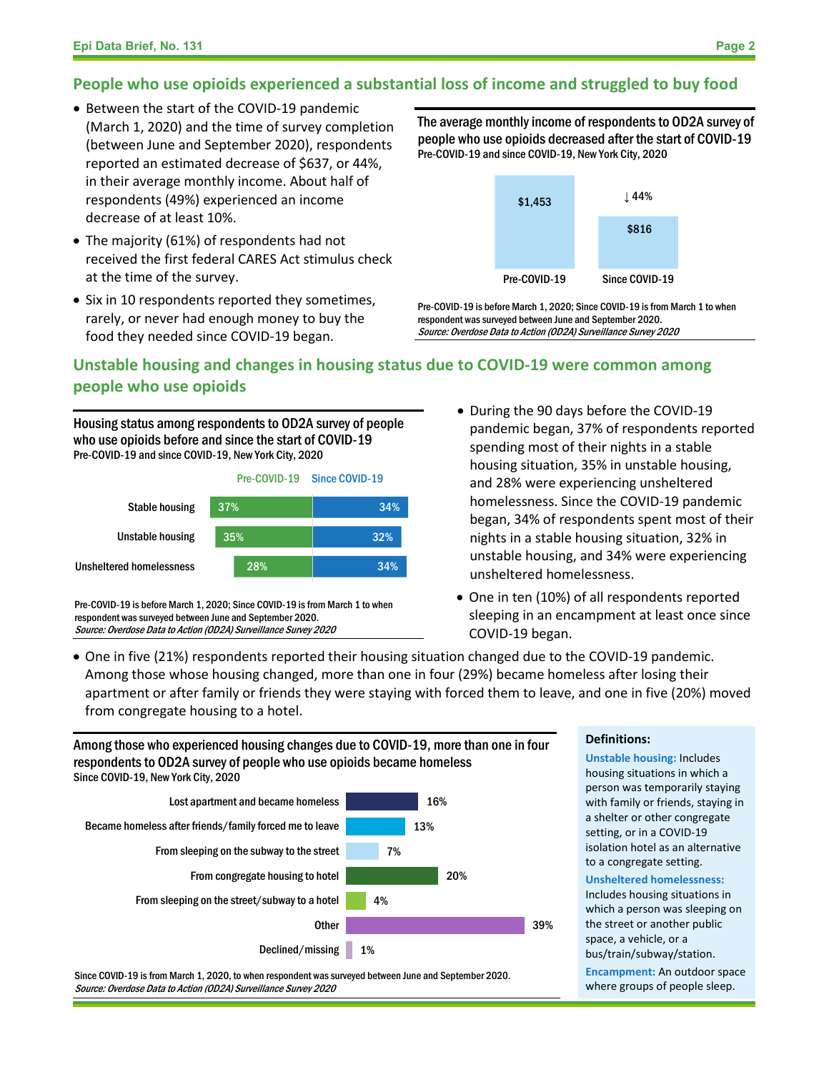#### **People who use opioids experienced a substantial loss of income and struggled to buy food**

- Between the start of the COVID-19 pandemic (March 1, 2020) and the time of survey completion (between June and September 2020), respondents reported an estimated decrease of \$637, or 44%, in their average monthly income. About half of respondents (49%) experienced an income decrease of at least 10%.
- The majority (61%) of respondents had not received the first federal CARES Act stimulus check at the time of the survey.
- Six in 10 respondents reported they sometimes, rarely, or never had enough money to buy the food they needed since COVID-19 began.

The average monthly income of respondents to OD2A survey of people who use opioids decreased after the start of COVID-19 Pre-COVID-19 and since COVID-19, New York City, 2020



Pre-COVID-19 is before March 1, 2020; Since COVID-19 is from March 1 to when respondent was surveyed between June and September 2020. Source: Overdose Data to Action (OD2A) Surveillance Survey 2020

### **Unstable housing and changes in housing status due to COVID-19 were common among people who use opioids**

Housing status among respondents to OD2A survey of people who use opioids before and since the start of COVID-19 Pre-COVID-19 and since COVID-19, New York City, 2020



Pre-COVID-19 is before March 1, 2020; Since COVID-19 is from March 1 to when respondent was surveyed between June and September 2020. Source: Overdose Data to Action (OD2A) Surveillance Survey 2020

- During the 90 days before the COVID-19 pandemic began, 37% of respondents reported spending most of their nights in a stable housing situation, 35% in unstable housing, and 28% were experiencing unsheltered homelessness. Since the COVID-19 pandemic began, 34% of respondents spent most of their nights in a stable housing situation, 32% in unstable housing, and 34% were experiencing unsheltered homelessness.
- One in ten (10%) of all respondents reported sleeping in an encampment at least once since COVID-19 began.
- One in five (21%) respondents reported their housing situation changed due to the COVID-19 pandemic. Among those whose housing changed, more than one in four (29%) became homeless after losing their apartment or after family or friends they were staying with forced them to leave, and one in five (20%) moved from congregate housing to a hotel.

Among those who experienced housing changes due to COVID-19, more than one in four respondents to OD2A survey of people who use opioids became homeless Since COVID-19, New York City, 2020



Since COVID-19 is from March 1, 2020, to when respondent was surveyed between June and September 2020. Source: Overdose Data to Action (OD2A) Surveillance Survey 2020

#### **Definitions:**

**Unstable housing:** Includes housing situations in which a person was temporarily staying with family or friends, staying in a shelter or other congregate setting, or in a COVID-19 isolation hotel as an alternative to a congregate setting.

#### **Unsheltered homelessness:**

Includes housing situations in which a person was sleeping on the street or another public space, a vehicle, or a bus/train/subway/station. **Encampment:** An outdoor space where groups of people sleep.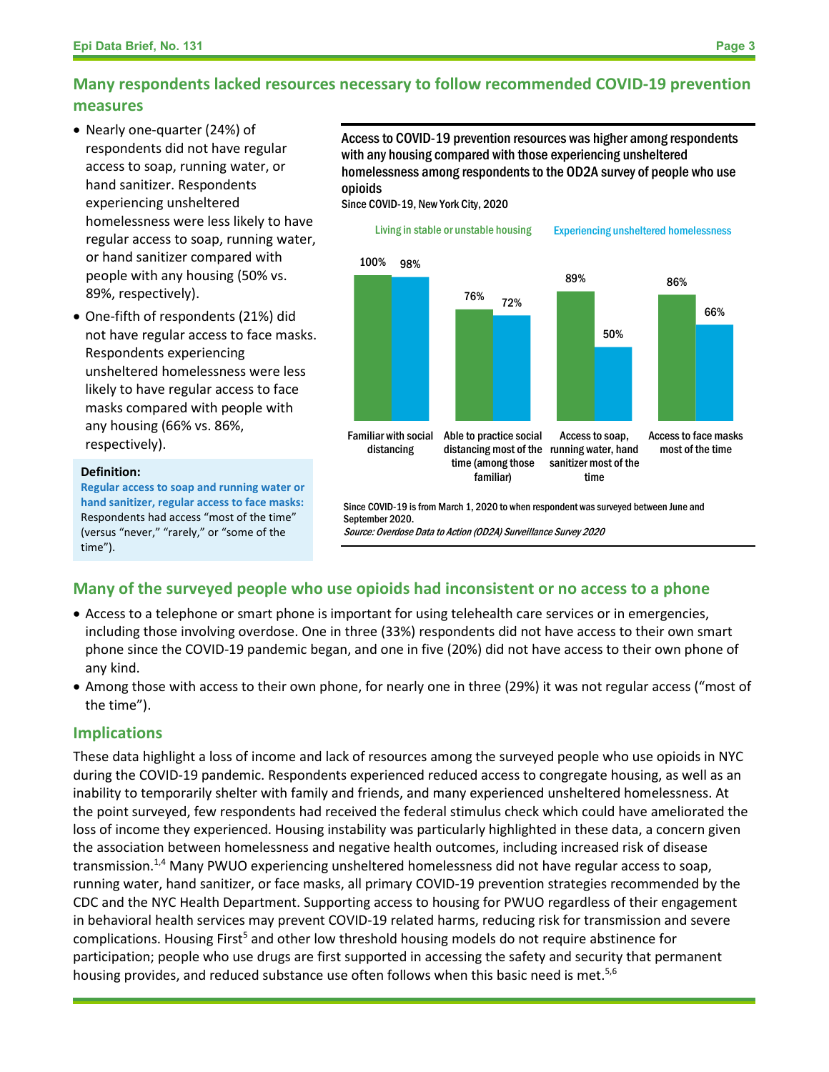#### **Many respondents lacked resources necessary to follow recommended COVID-19 prevention measures**

- Nearly one-quarter (24%) of respondents did not have regular access to soap, running water, or hand sanitizer. Respondents experiencing unsheltered homelessness were less likely to have regular access to soap, running water, or hand sanitizer compared with people with any housing (50% vs. 89%, respectively).
- One-fifth of respondents (21%) did not have regular access to face masks. Respondents experiencing unsheltered homelessness were less likely to have regular access to face masks compared with people with any housing (66% vs. 86%, respectively).

#### **Definition:**

**Regular access to soap and running water or hand sanitizer, regular access to face masks:** Respondents had access "most of the time" (versus "never," "rarely," or "some of the time").

Access to COVID-19 prevention resources was higher among respondents with any housing compared with those experiencing unsheltered homelessness among respondents to the OD2A survey of people who use opioids

Since COVID-19, New York City, 2020



Source: Overdose Data to Action (OD2A) Surveillance Survey 2020

#### **Many of the surveyed people who use opioids had inconsistent or no access to a phone**

- Access to a telephone or smart phone is important for using telehealth care services or in emergencies, including those involving overdose. One in three (33%) respondents did not have access to their own smart  phone since the COVID-19 pandemic began, and one in five (20%) did not have access to their own phone of any kind.
- Among those with access to their own phone, for nearly one in three (29%) it was not regular access ("most of the time").

#### **Implications**

These data highlight a loss of income and lack of resources among the surveyed people who use opioids in NYC during the COVID-19 pandemic. Respondents experienced reduced access to congregate housing, as well as an inability to temporarily shelter with family and friends, and many experienced unsheltered homelessness. At the point surveyed, few respondents had received the federal stimulus check which could have ameliorated the loss of income they experienced. Housing instability was particularly highlighted in these data, a concern given the association between homelessness and negative health outcomes, including increased risk of disease transmission.<sup>1,4</sup> Many PWUO experiencing unsheltered homelessness did not have regular access to soap, running water, hand sanitizer, or face masks, all primary COVID-19 prevention strategies recommended by the CDC and the NYC Health Department. Supporting access to housing for PWUO regardless of their engagement in behavioral health services may prevent COVID-19 related harms, reducing risk for transmission and severe complications. Housing First<sup>5</sup> and other low threshold housing models do not require abstinence for participation; people who use drugs are first supported in accessing the safety and security that permanent housing provides, and reduced substance use often follows when this basic need is met.<sup>5,6</sup>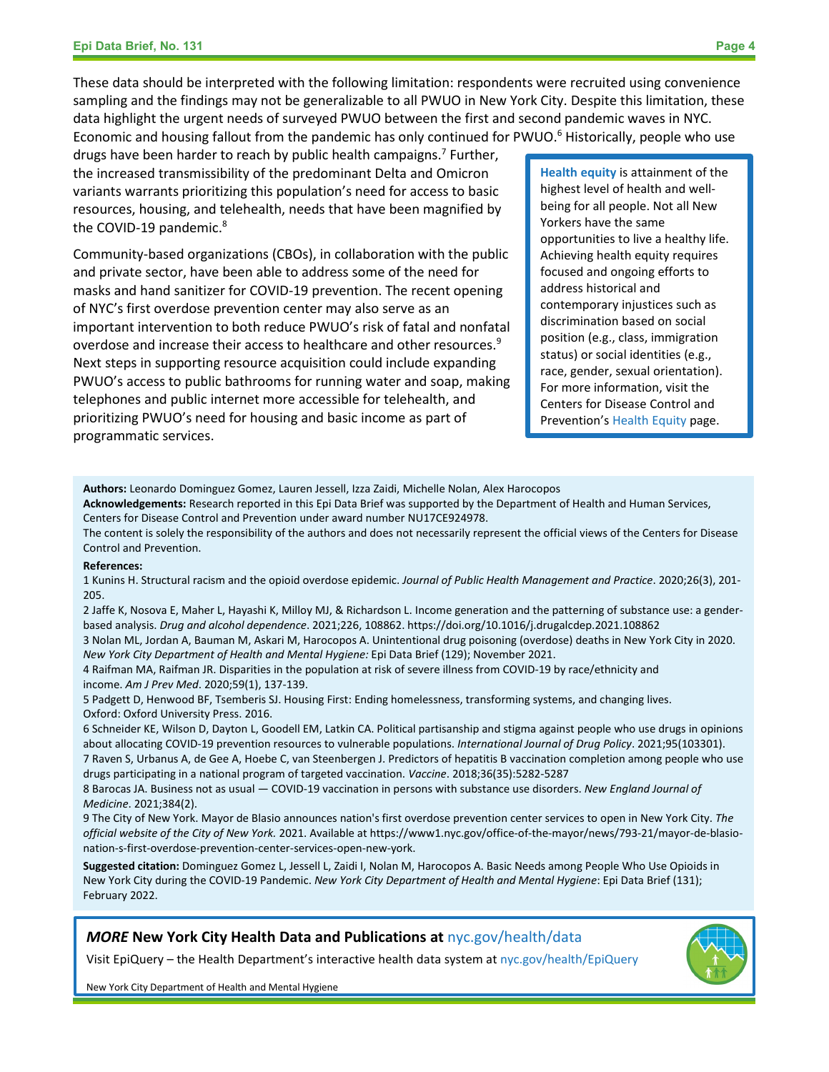These data should be interpreted with the following limitation: respondents were recruited using convenience sampling and the findings may not be generalizable to all PWUO in New York City. Despite this limitation, these data highlight the urgent needs of surveyed PWUO between the first and second pandemic waves in NYC. Economic and housing fallout from the pandemic has only continued for PWUO.<sup>6</sup> Historically, people who use

drugs have been harder to reach by public health campaigns.<sup>7</sup> Further, the increased transmissibility of the predominant Delta and Omicron variants warrants prioritizing this population's need for access to basic resources, housing, and telehealth, needs that have been magnified by the COVID-19 pandemic.<sup>8</sup>

Community-based organizations (CBOs), in collaboration with the public and private sector, have been able to address some of the need for masks and hand sanitizer for COVID-19 prevention. The recent opening of NYC's first overdose prevention center may also serve as an important intervention to both reduce PWUO's risk of fatal and nonfatal overdose and increase their access to healthcare and other resources.<sup>9</sup> Next steps in supporting resource acquisition could include expanding PWUO's access to public bathrooms for running water and soap, making telephones and public internet more accessible for telehealth, and prioritizing PWUO's need for housing and basic income as part of programmatic services.

**Health equity** is attainment of the highest level of health and wellbeing for all people. Not all New Yorkers have the same opportunities to live a healthy life. Achieving health equity requires focused and ongoing efforts to address historical and contemporary injustices such as discrimination based on social position (e.g., class, immigration status) or social identities (e.g., race, gender, sexual orientation). For more information, visit the Centers for Disease Control and Prevention'[s Health Equity](https://www.cdc.gov/chronicdisease/healthequity/index.htm) page.

**Authors:** Leonardo Dominguez Gomez, Lauren Jessell, Izza Zaidi, Michelle Nolan, Alex Harocopos

**Acknowledgements:** Research reported in this Epi Data Brief was supported by the Department of Health and Human Services, Centers for Disease Control and Prevention under award number NU17CE924978.

The content is solely the responsibility of the authors and does not necessarily represent the official views of the Centers for Disease Control and Prevention.

#### **References:**

1 Kunins H. Structural racism and the opioid overdose epidemic. *Journal of Public Health Management and Practice*. 2020;26(3), 201- 205.

2 Jaffe K, Nosova E, Maher L, Hayashi K, Milloy MJ, & Richardson L. Income generation and the patterning of substance use: a genderbased analysis. *Drug and alcohol dependence*. 2021;226, 108862. https://doi.org/10.1016/j.drugalcdep.2021.108862

3 Nolan ML, Jordan A, Bauman M, Askari M, Harocopos A. Unintentional drug poisoning (overdose) deaths in New York City in 2020. *New York City Department of Health and Mental Hygiene:* Epi Data Brief (129); November 2021.

4 Raifman MA, Raifman JR. Disparities in the population at risk of severe illness from COVID-19 by race/ethnicity and income. *Am J Prev Med*. 2020;59(1), 137-139.

5 Padgett D, Henwood BF, Tsemberis SJ. Housing First: Ending homelessness, transforming systems, and changing lives. Oxford: Oxford University Press. 2016.

6 Schneider KE, Wilson D, Dayton L, Goodell EM, Latkin CA. Political partisanship and stigma against people who use drugs in opinions about allocating COVID-19 prevention resources to vulnerable populations. *International Journal of Drug Policy*. 2021;95(103301). 7 Raven S, Urbanus A, de Gee A, Hoebe C, van Steenbergen J. Predictors of hepatitis B vaccination completion among people who use drugs participating in a national program of targeted vaccination. *Vaccine*. 2018;36(35):5282-5287

8 Barocas JA. Business not as usual — COVID-19 vaccination in persons with substance use disorders. *New England Journal of Medicine*. 2021;384(2).

9 The City of New York. Mayor de Blasio announces nation's first overdose prevention center services to open in New York City. *The official website of the City of New York.* 2021. Available at https://www1.nyc.gov/office-of-the-mayor/news/793-21/mayor-de-blasionation-s-first-overdose-prevention-center-services-open-new-york.

**Suggested citation:** Dominguez Gomez L, Jessell L, Zaidi I, Nolan M, Harocopos A. Basic Needs among People Who Use Opioids in New York City during the COVID-19 Pandemic. *New York City Department of Health and Mental Hygiene*: Epi Data Brief (131); February 2022.

#### *MORE* **New York City Health Data and Publications at** [nyc.gov/health/data](https://www1.nyc.gov/site/doh/data/data-home.page)

Visit EpiQuery – the Health Department's interactive health data system a[t nyc.gov/health/EpiQuery](https://a816-health.nyc.gov/hdi/epiquery)



New York City Department of Health and Mental Hygiene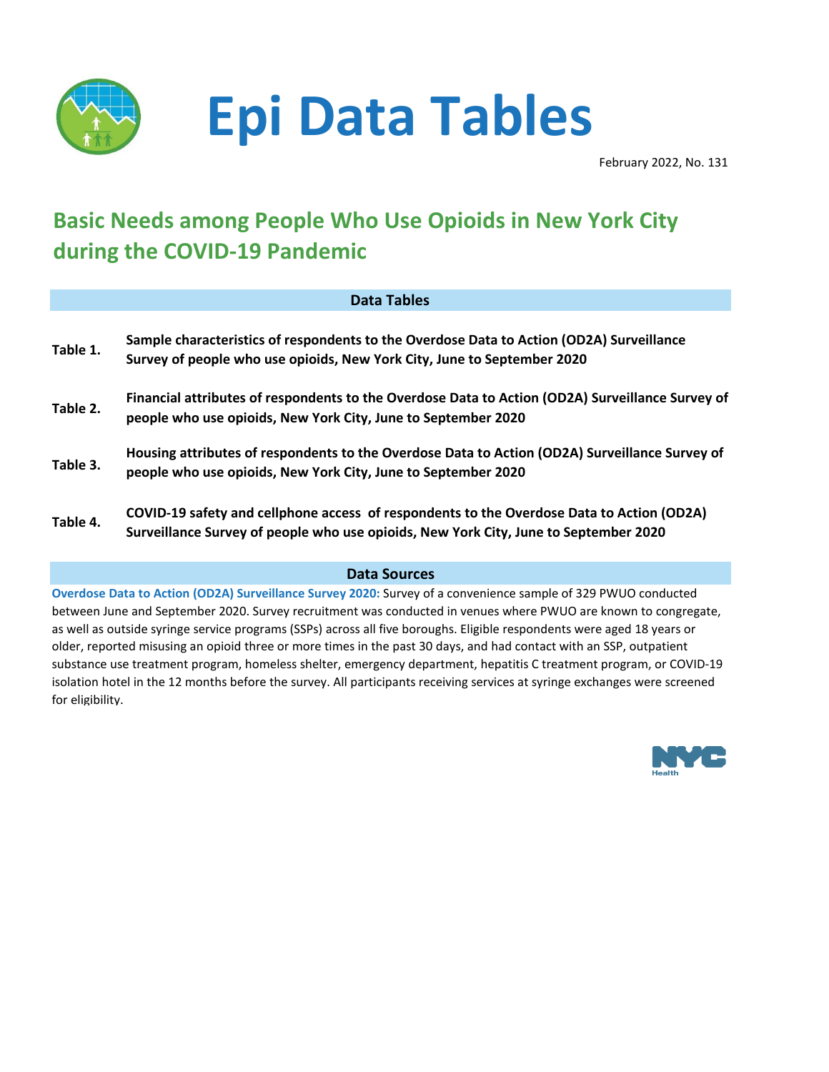

# **Epi Data Tables**

February 2022, No. 131

# **Basic Needs among People Who Use Opioids in New York City during the COVID-19 Pandemic**

#### **Data Tables**

| Table 1. | Sample characteristics of respondents to the Overdose Data to Action (OD2A) Surveillance<br>Survey of people who use opioids, New York City, June to September 2020               |
|----------|-----------------------------------------------------------------------------------------------------------------------------------------------------------------------------------|
| Table 2. | Financial attributes of respondents to the Overdose Data to Action (OD2A) Surveillance Survey of<br>people who use opioids, New York City, June to September 2020                 |
| Table 3. | Housing attributes of respondents to the Overdose Data to Action (OD2A) Surveillance Survey of<br>people who use opioids, New York City, June to September 2020                   |
| Table 4. | COVID-19 safety and cellphone access of respondents to the Overdose Data to Action (OD2A)<br>Surveillance Survey of people who use opioids, New York City, June to September 2020 |

#### **Data Sources**

**Overdose Data to Action (OD2A) Surveillance Survey 2020:** Survey of a convenience sample of 329 PWUO conducted between June and September 2020. Survey recruitment was conducted in venues where PWUO are known to congregate, as well as outside syringe service programs (SSPs) across all five boroughs. Eligible respondents were aged 18 years or older, reported misusing an opioid three or more times in the past 30 days, and had contact with an SSP, outpatient substance use treatment program, homeless shelter, emergency department, hepatitis C treatment program, or COVID-19 isolation hotel in the 12 months before the survey. All participants receiving services at syringe exchanges were screened for eligibility.

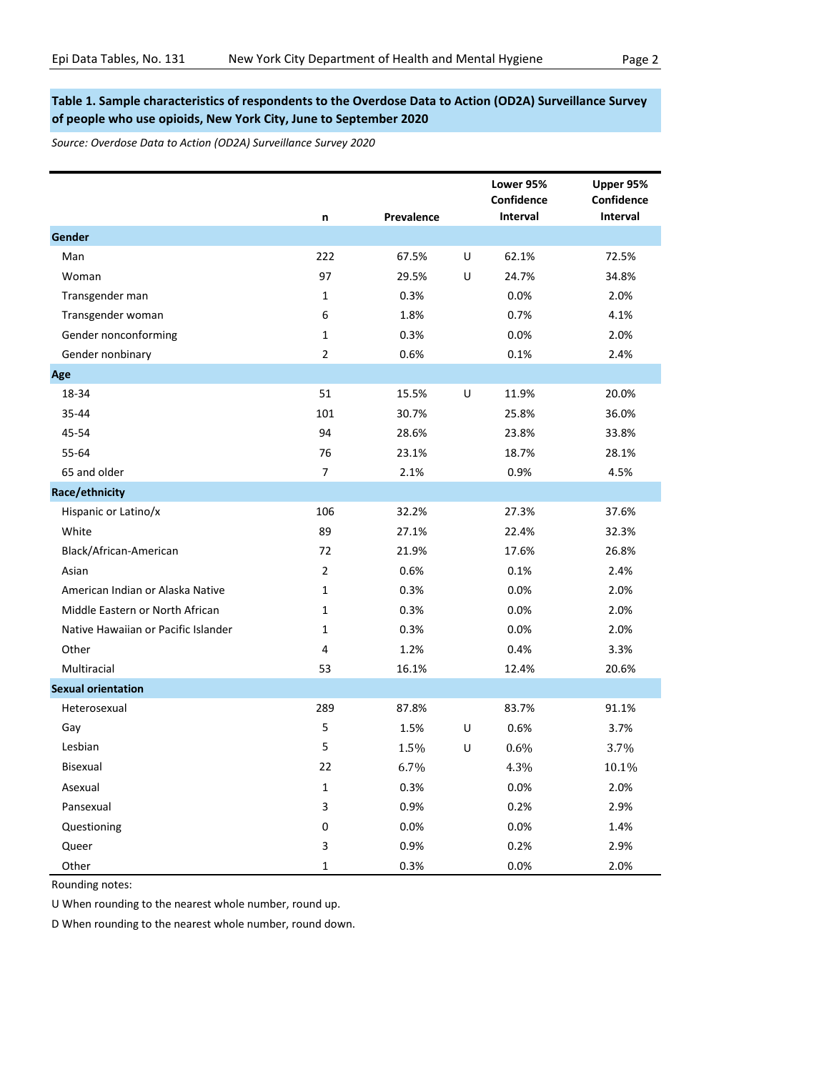#### **Table 1. Sample characteristics of respondents to the Overdose Data to Action (OD2A) Surveillance Survey of people who use opioids, New York City, June to September 2020**

*Source: Overdose Data to Action (OD2A) Surveillance Survey 2020*

|                                     | n              | Prevalence |   | Lower 95%<br>Confidence<br>Interval | Upper 95%<br>Confidence<br><b>Interval</b> |
|-------------------------------------|----------------|------------|---|-------------------------------------|--------------------------------------------|
| Gender                              |                |            |   |                                     |                                            |
| Man                                 | 222            | 67.5%      | U | 62.1%                               | 72.5%                                      |
| Woman                               | 97             | 29.5%      | U | 24.7%                               | 34.8%                                      |
| Transgender man                     | $\mathbf{1}$   | 0.3%       |   | 0.0%                                | 2.0%                                       |
| Transgender woman                   | 6              | 1.8%       |   | 0.7%                                | 4.1%                                       |
| Gender nonconforming                | $\mathbf{1}$   | 0.3%       |   | 0.0%                                | 2.0%                                       |
| Gender nonbinary                    | $\overline{2}$ | 0.6%       |   | 0.1%                                | 2.4%                                       |
| Age                                 |                |            |   |                                     |                                            |
| 18-34                               | 51             | 15.5%      | U | 11.9%                               | 20.0%                                      |
| 35-44                               | 101            | 30.7%      |   | 25.8%                               | 36.0%                                      |
| 45-54                               | 94             | 28.6%      |   | 23.8%                               | 33.8%                                      |
| 55-64                               | 76             | 23.1%      |   | 18.7%                               | 28.1%                                      |
| 65 and older                        | $\overline{7}$ | 2.1%       |   | 0.9%                                | 4.5%                                       |
| Race/ethnicity                      |                |            |   |                                     |                                            |
| Hispanic or Latino/x                | 106            | 32.2%      |   | 27.3%                               | 37.6%                                      |
| White                               | 89             | 27.1%      |   | 22.4%                               | 32.3%                                      |
| Black/African-American              | 72             | 21.9%      |   | 17.6%                               | 26.8%                                      |
| Asian                               | $\overline{2}$ | 0.6%       |   | 0.1%                                | 2.4%                                       |
| American Indian or Alaska Native    | $\mathbf{1}$   | 0.3%       |   | 0.0%                                | 2.0%                                       |
| Middle Eastern or North African     | $\mathbf 1$    | 0.3%       |   | 0.0%                                | 2.0%                                       |
| Native Hawaiian or Pacific Islander | $\mathbf{1}$   | 0.3%       |   | 0.0%                                | 2.0%                                       |
| Other                               | 4              | 1.2%       |   | 0.4%                                | 3.3%                                       |
| Multiracial                         | 53             | 16.1%      |   | 12.4%                               | 20.6%                                      |
| <b>Sexual orientation</b>           |                |            |   |                                     |                                            |
| Heterosexual                        | 289            | 87.8%      |   | 83.7%                               | 91.1%                                      |
| Gay                                 | 5              | 1.5%       | U | 0.6%                                | 3.7%                                       |
| Lesbian                             | 5              | 1.5%       | U | 0.6%                                | 3.7%                                       |
| <b>Bisexual</b>                     | 22             | 6.7%       |   | 4.3%                                | 10.1%                                      |
| Asexual                             | $\mathbf{1}$   | 0.3%       |   | 0.0%                                | 2.0%                                       |
| Pansexual                           | 3              | 0.9%       |   | 0.2%                                | 2.9%                                       |
| Questioning                         | 0              | 0.0%       |   | 0.0%                                | 1.4%                                       |
| Queer                               | 3              | 0.9%       |   | 0.2%                                | 2.9%                                       |
| Other                               | $\mathbf{1}$   | 0.3%       |   | 0.0%                                | 2.0%                                       |

Rounding notes:

U When rounding to the nearest whole number, round up.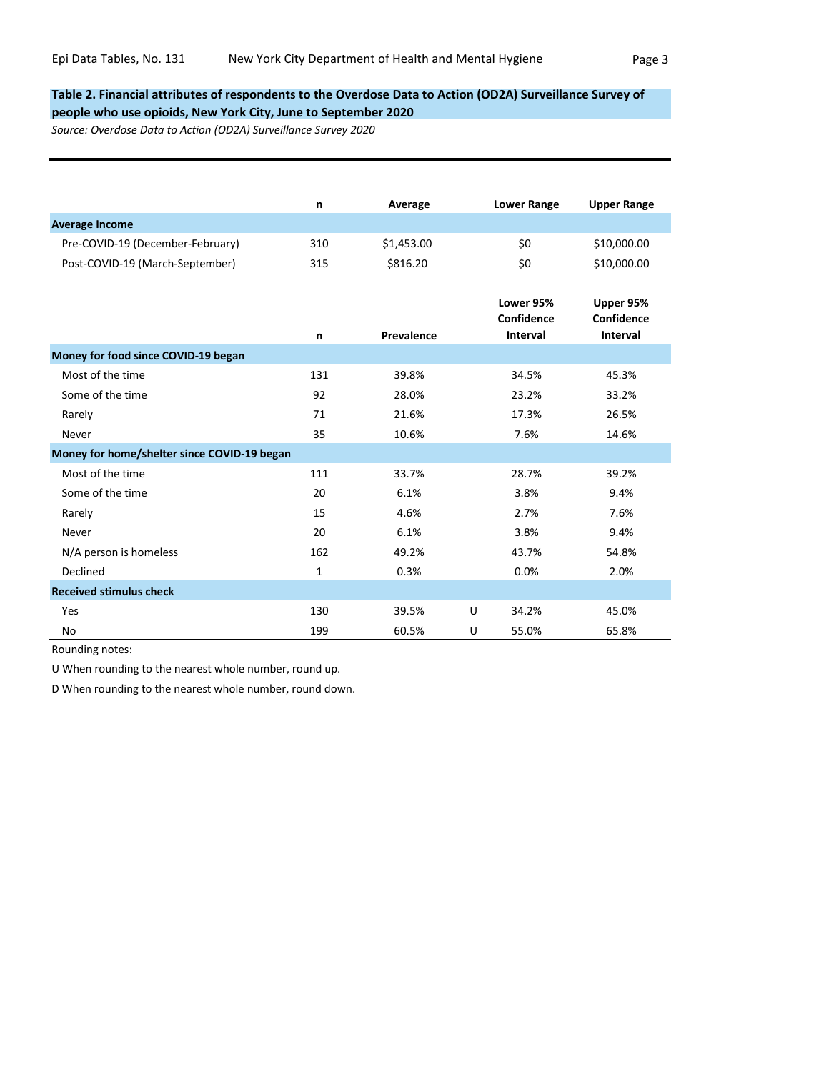#### **Table 2. Financial attributes of respondents to the Overdose Data to Action (OD2A) Surveillance Survey of people who use opioids, New York City, June to September 2020**

*Source: Overdose Data to Action (OD2A) Surveillance Survey 2020*

|                                             | n   | Average    | <b>Lower Range</b>                  | <b>Upper Range</b>                  |
|---------------------------------------------|-----|------------|-------------------------------------|-------------------------------------|
| <b>Average Income</b>                       |     |            |                                     |                                     |
| Pre-COVID-19 (December-February)            | 310 | \$1,453.00 | \$0                                 | \$10,000.00                         |
| Post-COVID-19 (March-September)             | 315 | \$816.20   | \$0                                 | \$10,000.00                         |
|                                             | n   | Prevalence | Lower 95%<br>Confidence<br>Interval | Upper 95%<br>Confidence<br>Interval |
| Money for food since COVID-19 began         |     |            |                                     |                                     |
| Most of the time                            | 131 | 39.8%      | 34.5%                               | 45.3%                               |
| Some of the time                            | 92  | 28.0%      | 23.2%                               | 33.2%                               |
| Rarely                                      | 71  | 21.6%      | 17.3%                               | 26.5%                               |
| Never                                       | 35  | 10.6%      | 7.6%                                | 14.6%                               |
| Money for home/shelter since COVID-19 began |     |            |                                     |                                     |
| Most of the time                            | 111 | 33.7%      | 28.7%                               | 39.2%                               |
| Some of the time                            | 20  | 6.1%       | 3.8%                                | 9.4%                                |
| Rarely                                      | 15  | 4.6%       | 2.7%                                | 7.6%                                |
| Never                                       | 20  | 6.1%       | 3.8%                                | 9.4%                                |
| N/A person is homeless                      | 162 | 49.2%      | 43.7%                               | 54.8%                               |
| Declined                                    | 1   | 0.3%       | 0.0%                                | 2.0%                                |
| <b>Received stimulus check</b>              |     |            |                                     |                                     |
| Yes                                         | 130 | 39.5%      | 34.2%<br>U                          | 45.0%                               |
| No                                          | 199 | 60.5%      | 55.0%<br>U                          | 65.8%                               |

Rounding notes:

U When rounding to the nearest whole number, round up.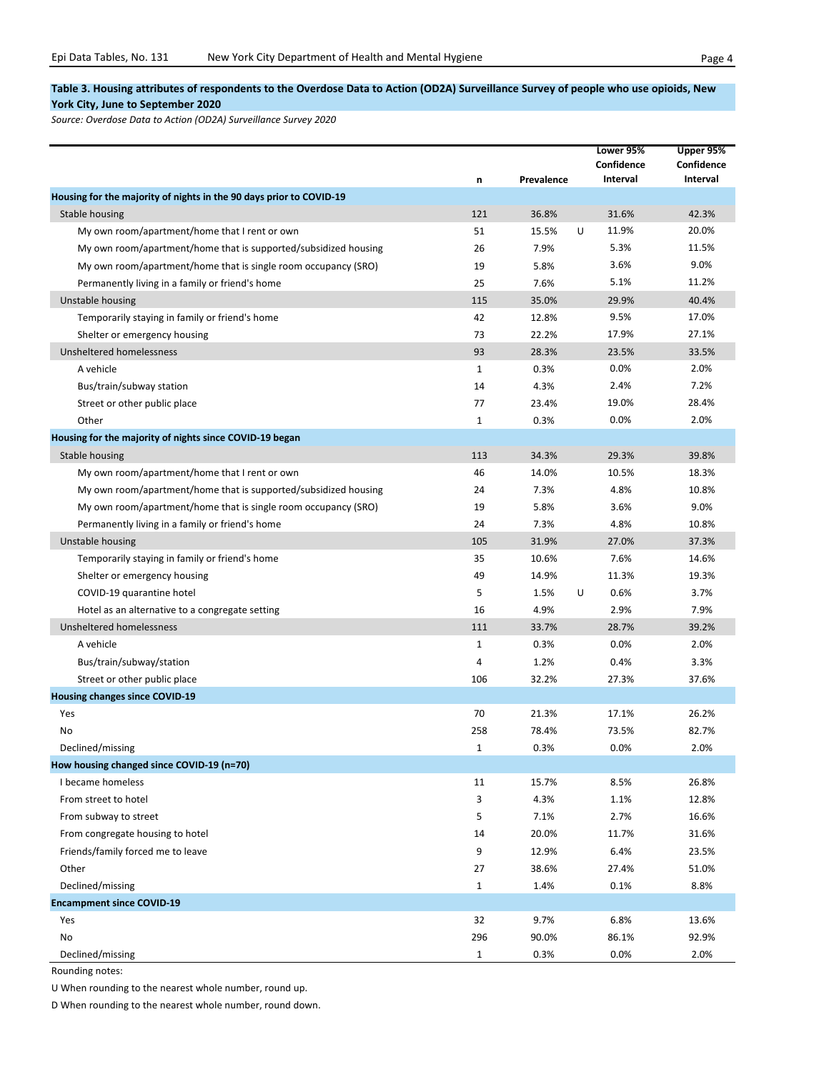#### **Table 3. Housing attributes of respondents to the Overdose Data to Action (OD2A) Surveillance Survey of people who use opioids, New York City, June to September 2020**

*Source: Overdose Data to Action (OD2A) Surveillance Survey 2020*

|                                                                     |              |            | Lower 95%  | Upper 95%  |
|---------------------------------------------------------------------|--------------|------------|------------|------------|
|                                                                     |              |            | Confidence | Confidence |
|                                                                     | n            | Prevalence | Interval   | Interval   |
| Housing for the majority of nights in the 90 days prior to COVID-19 |              |            |            |            |
| Stable housing                                                      | 121          | 36.8%      | 31.6%      | 42.3%      |
| My own room/apartment/home that I rent or own                       | 51           | 15.5%      | 11.9%<br>U | 20.0%      |
| My own room/apartment/home that is supported/subsidized housing     | 26           | 7.9%       | 5.3%       | 11.5%      |
| My own room/apartment/home that is single room occupancy (SRO)      | 19           | 5.8%       | 3.6%       | 9.0%       |
| Permanently living in a family or friend's home                     | 25           | 7.6%       | 5.1%       | 11.2%      |
| Unstable housing                                                    | 115          | 35.0%      | 29.9%      | 40.4%      |
| Temporarily staying in family or friend's home                      | 42           | 12.8%      | 9.5%       | 17.0%      |
| Shelter or emergency housing                                        | 73           | 22.2%      | 17.9%      | 27.1%      |
| Unsheltered homelessness                                            | 93           | 28.3%      | 23.5%      | 33.5%      |
| A vehicle                                                           | $\mathbf{1}$ | 0.3%       | 0.0%       | 2.0%       |
| Bus/train/subway station                                            | 14           | 4.3%       | 2.4%       | 7.2%       |
| Street or other public place                                        | 77           | 23.4%      | 19.0%      | 28.4%      |
| Other                                                               | $\mathbf{1}$ | 0.3%       | 0.0%       | 2.0%       |
| Housing for the majority of nights since COVID-19 began             |              |            |            |            |
| Stable housing                                                      | 113          | 34.3%      | 29.3%      | 39.8%      |
| My own room/apartment/home that I rent or own                       | 46           | 14.0%      | 10.5%      | 18.3%      |
| My own room/apartment/home that is supported/subsidized housing     | 24           | 7.3%       | 4.8%       | 10.8%      |
| My own room/apartment/home that is single room occupancy (SRO)      | 19           | 5.8%       | 3.6%       | 9.0%       |
| Permanently living in a family or friend's home                     | 24           | 7.3%       | 4.8%       | 10.8%      |
| Unstable housing                                                    | 105          | 31.9%      | 27.0%      | 37.3%      |
| Temporarily staying in family or friend's home                      | 35           | 10.6%      | 7.6%       | 14.6%      |
| Shelter or emergency housing                                        | 49           | 14.9%      | 11.3%      | 19.3%      |
| COVID-19 quarantine hotel                                           | 5            | 1.5%       | U<br>0.6%  | 3.7%       |
| Hotel as an alternative to a congregate setting                     | 16           | 4.9%       | 2.9%       | 7.9%       |
| Unsheltered homelessness                                            | 111          | 33.7%      | 28.7%      | 39.2%      |
| A vehicle                                                           | 1            | 0.3%       | 0.0%       | 2.0%       |
| Bus/train/subway/station                                            | 4            | 1.2%       | 0.4%       | 3.3%       |
| Street or other public place                                        | 106          | 32.2%      | 27.3%      | 37.6%      |
| <b>Housing changes since COVID-19</b>                               |              |            |            |            |
| Yes                                                                 | 70           | 21.3%      | 17.1%      | 26.2%      |
| No                                                                  | 258          | 78.4%      | 73.5%      | 82.7%      |
| Declined/missing                                                    | $\mathbf{1}$ | 0.3%       | 0.0%       | 2.0%       |
| How housing changed since COVID-19 (n=70)                           |              |            |            |            |
| I became homeless                                                   | 11           | 15.7%      | 8.5%       | 26.8%      |
| From street to hotel                                                | 3            | 4.3%       | 1.1%       | 12.8%      |
| From subway to street                                               | 5            | 7.1%       | 2.7%       | 16.6%      |
| From congregate housing to hotel                                    | 14           | 20.0%      | 11.7%      | 31.6%      |
| Friends/family forced me to leave                                   | 9            | 12.9%      | 6.4%       | 23.5%      |
| Other                                                               | 27           | 38.6%      | 27.4%      | 51.0%      |
| Declined/missing                                                    | $\mathbf{1}$ | 1.4%       | 0.1%       | 8.8%       |
| <b>Encampment since COVID-19</b>                                    |              |            |            |            |
| Yes                                                                 | 32           | 9.7%       | 6.8%       | 13.6%      |
| No                                                                  | 296          | 90.0%      | 86.1%      | 92.9%      |
| Declined/missing                                                    | $\mathbf{1}$ | 0.3%       | 0.0%       | 2.0%       |

Rounding notes:

U When rounding to the nearest whole number, round up.